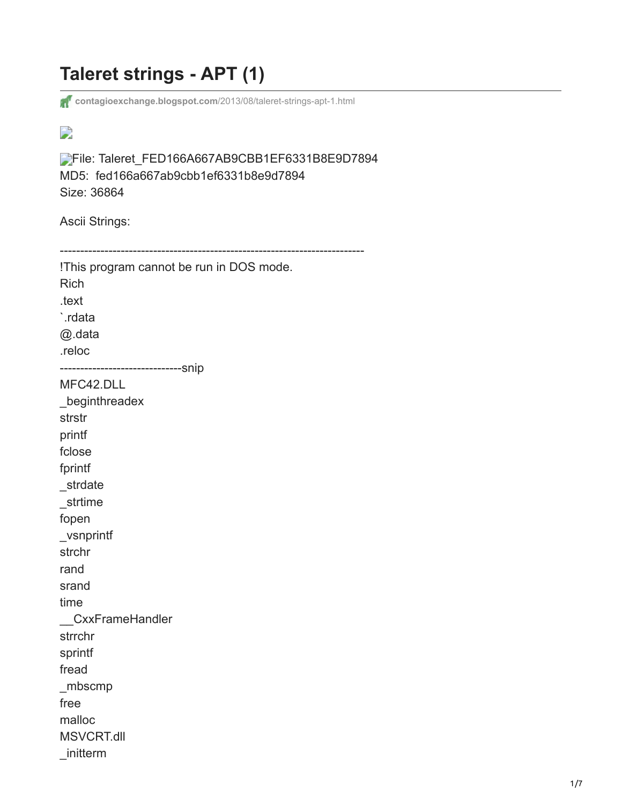## **Taleret strings - APT (1)**

**[contagioexchange.blogspot.com](http://contagioexchange.blogspot.com/2013/08/taleret-strings-apt-1.html)**/2013/08/taleret-strings-apt-1.html

## $\overline{\phantom{a}}$

[F](http://robohash.org/FED166A667AB9CBB1EF6331B8E9D7894?size=100x100)ile: Taleret\_FED166A667AB9CBB1EF6331B8E9D7894 MD5: fed166a667ab9cbb1ef6331b8e9d7894 Size: 36864

Ascii Strings:

| !This program cannot be run in DOS mode.<br><b>Rich</b> |
|---------------------------------------------------------|
| .text                                                   |
| `.rdata                                                 |
| @.data                                                  |
| .reloc                                                  |
| ------------------------------Snip                      |
| MFC42.DLL                                               |
| _beginthreadex                                          |
| strstr                                                  |
| printf                                                  |
| fclose                                                  |
| fprintf                                                 |
| _strdate                                                |
| strtime                                                 |
| fopen                                                   |
| _vsnprintf                                              |
| strchr                                                  |
| rand                                                    |
| srand                                                   |
| time                                                    |
| CxxFrameHandler                                         |
| strrchr                                                 |
| sprintf                                                 |
| fread                                                   |
| $\_mbscmp$                                              |
| free                                                    |
| malloc                                                  |
| <b>MSVCRT.dll</b>                                       |
| initterm                                                |
|                                                         |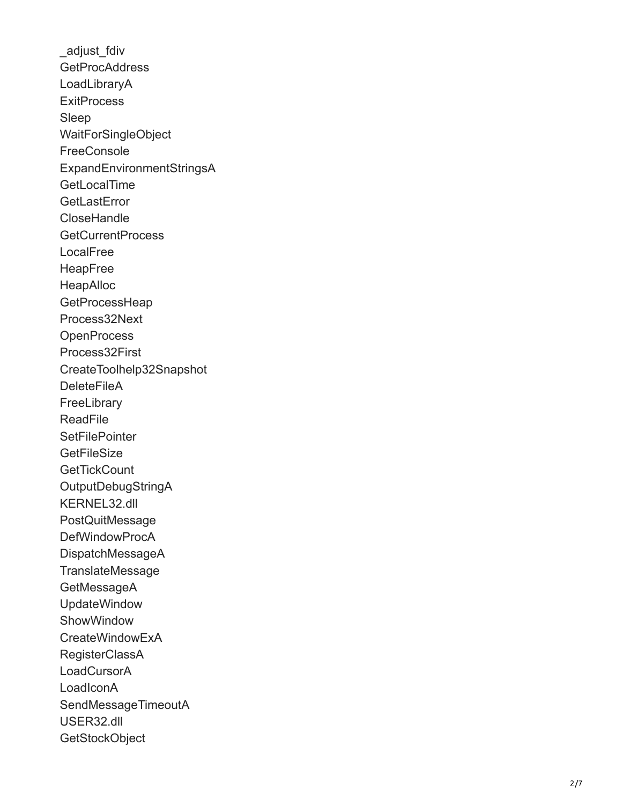adjust fdiv **GetProcAddress** LoadLibraryA **ExitProcess** Sleep WaitForSingleObject **FreeConsole** ExpandEnvironmentStringsA **GetLocalTime GetLastError CloseHandle** GetCurrentProcess LocalFree HeapFree HeapAlloc **GetProcessHeap** Process32Next **OpenProcess** Process32First CreateToolhelp32Snapshot **DeleteFileA FreeLibrary** ReadFile **SetFilePointer GetFileSize GetTickCount** OutputDebugStringA KERNEL32.dll **PostQuitMessage** DefWindowProcA DispatchMessageA **TranslateMessage** GetMessageA UpdateWindow **ShowWindow** CreateWindowExA RegisterClassA **LoadCursorA** LoadIconA SendMessageTimeoutA USER32.dll **GetStockObject**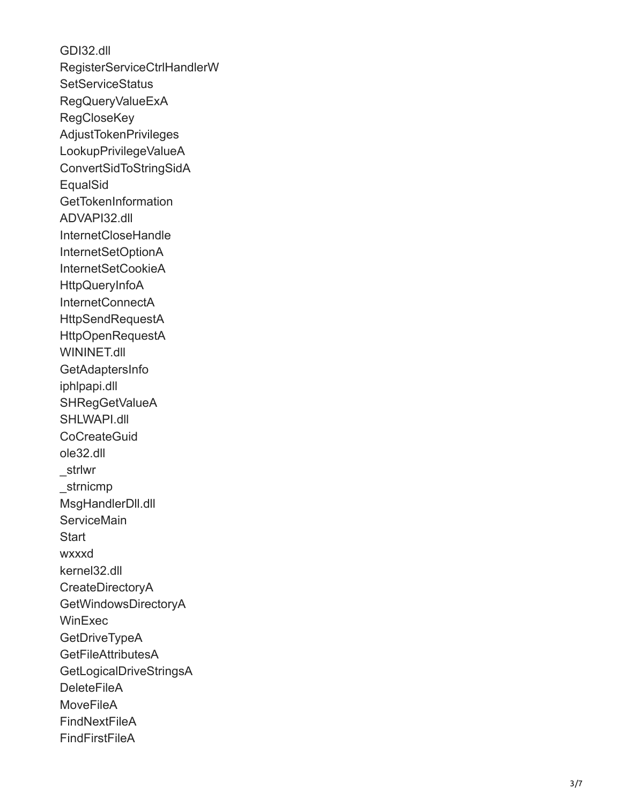GDI32.dll RegisterServiceCtrlHandlerW **SetServiceStatus** RegQueryValueExA **RegCloseKey** AdjustTokenPrivileges LookupPrivilegeValueA ConvertSidToStringSidA **EqualSid GetTokenInformation** ADVAPI32.dll InternetCloseHandle InternetSetOptionA InternetSetCookieA **HttpQueryInfoA** InternetConnectA **HttpSendRequestA** HttpOpenRequestA WININET.dll GetAdaptersInfo iphlpapi.dll SHRegGetValueA SHLWAPI.dll **CoCreateGuid** ole32.dll \_strlwr \_strnicmp MsgHandlerDll.dll **ServiceMain Start** wxxxd kernel32.dll CreateDirectoryA GetWindowsDirectoryA **WinExec GetDriveTypeA GetFileAttributesA** GetLogicalDriveStringsA **DeleteFileA MoveFileA FindNextFileA FindFirstFileA**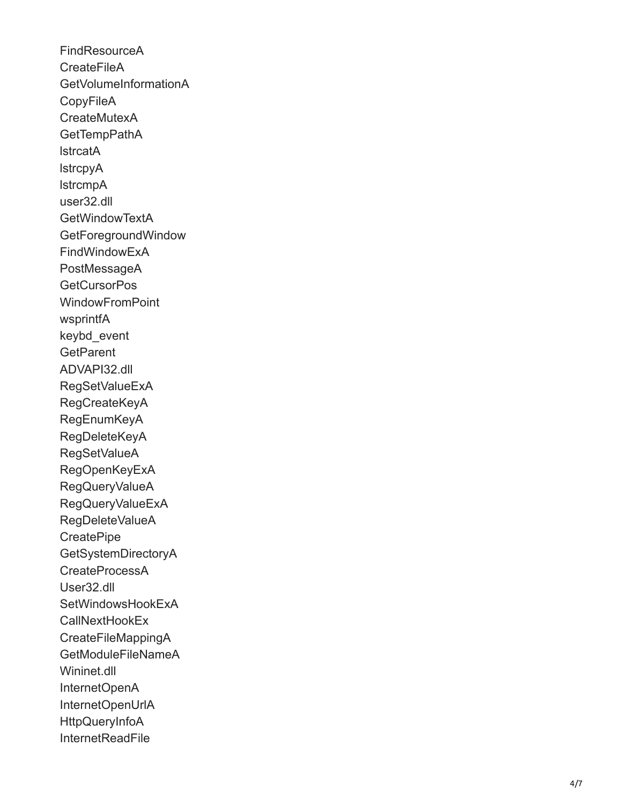FindResourceA **CreateFileA** GetVolumeInformationA **CopyFileA** CreateMutexA **GetTempPathA** lstrcatA lstrcpyA lstrcmpA user32.dll GetWindowTextA GetForegroundWindow FindWindowExA PostMessageA **GetCursorPos WindowFromPoint** wsprintfA keybd\_event **GetParent** ADVAPI32.dll RegSetValueExA RegCreateKeyA RegEnumKeyA RegDeleteKeyA RegSetValueA RegOpenKeyExA RegQueryValueA RegQueryValueExA RegDeleteValueA **CreatePipe** GetSystemDirectoryA CreateProcessA User32.dll SetWindowsHookExA CallNextHookEx CreateFileMappingA GetModuleFileNameA Wininet.dll InternetOpenA InternetOpenUrlA **HttpQueryInfoA InternetReadFile**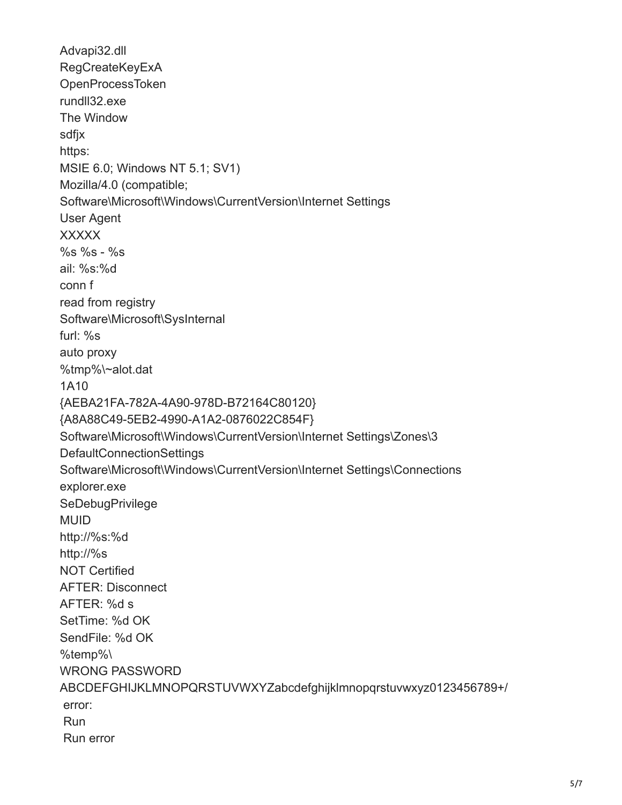Advapi32.dll RegCreateKeyExA OpenProcessToken rundll32.exe The Window sdfjx https: MSIE 6.0; Windows NT 5.1; SV1) Mozilla/4.0 (compatible; Software\Microsoft\Windows\CurrentVersion\Internet Settings User Agent XXXXX %s %s - %s ail: %s:%d conn f read from registry Software\Microsoft\SysInternal furl: %s auto proxy %tmp%\~alot.dat 1A10 {AEBA21FA-782A-4A90-978D-B72164C80120} {A8A88C49-5EB2-4990-A1A2-0876022C854F} Software\Microsoft\Windows\CurrentVersion\Internet Settings\Zones\3 DefaultConnectionSettings Software\Microsoft\Windows\CurrentVersion\Internet Settings\Connections explorer.exe **SeDebugPrivilege** MUID http://%s:%d http://%s NOT Certified AFTER: Disconnect AFTER: %d s SetTime: %d OK SendFile: %d OK %temp%\ WRONG PASSWORD ABCDEFGHIJKLMNOPQRSTUVWXYZabcdefghijklmnopqrstuvwxyz0123456789+/ error: Run Run error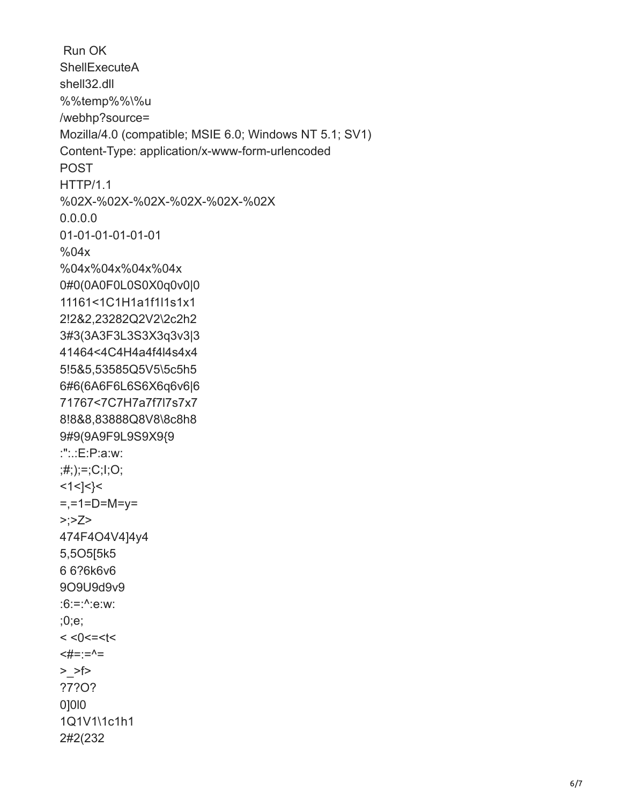```
 Run OK
ShellExecuteA
shell32.dll
%%temp%%\%u
/webhp?source=
Mozilla/4.0 (compatible; MSIE 6.0; Windows NT 5.1; SV1)
Content-Type: application/x-www-form-urlencoded
POST
HTTP/1.1
%02X-%02X-%02X-%02X-%02X-%02X
0.0.0.0
01-01-01-01-01-01
%04x
%04x%04x%04x%04x
0#0(0A0F0L0S0X0q0v0|0
11161<1C1H1a1f1l1s1x1
2!2&2,23282Q2V2\2c2h2
3#3(3A3F3L3S3X3q3v3|3
41464<4C4H4a4f4l4s4x4
5!5&5,53585Q5V5\5c5h5
6#6(6A6F6L6S6X6q6v6|6
71767<7C7H7a7f7l7s7x7
8!8&8,83888Q8V8\8c8h8
9#9(9A9F9L9S9X9{9
:":.:E:P:a:w:
;#;);=;C;I;O;
<1<]<}<
=,-1=D=M=y=
>>Z>474F4O4V4]4y4
5,5O5[5k5
6 6?6k6v6
9O9U9d9v9
:6:=:^:e:w:
;0;e;
< <0<=<t<
<\neq=:=^{\wedge}=
> >f>
?7?O?
0]0l0
1Q1V1\1c1h1
2#2(232
```